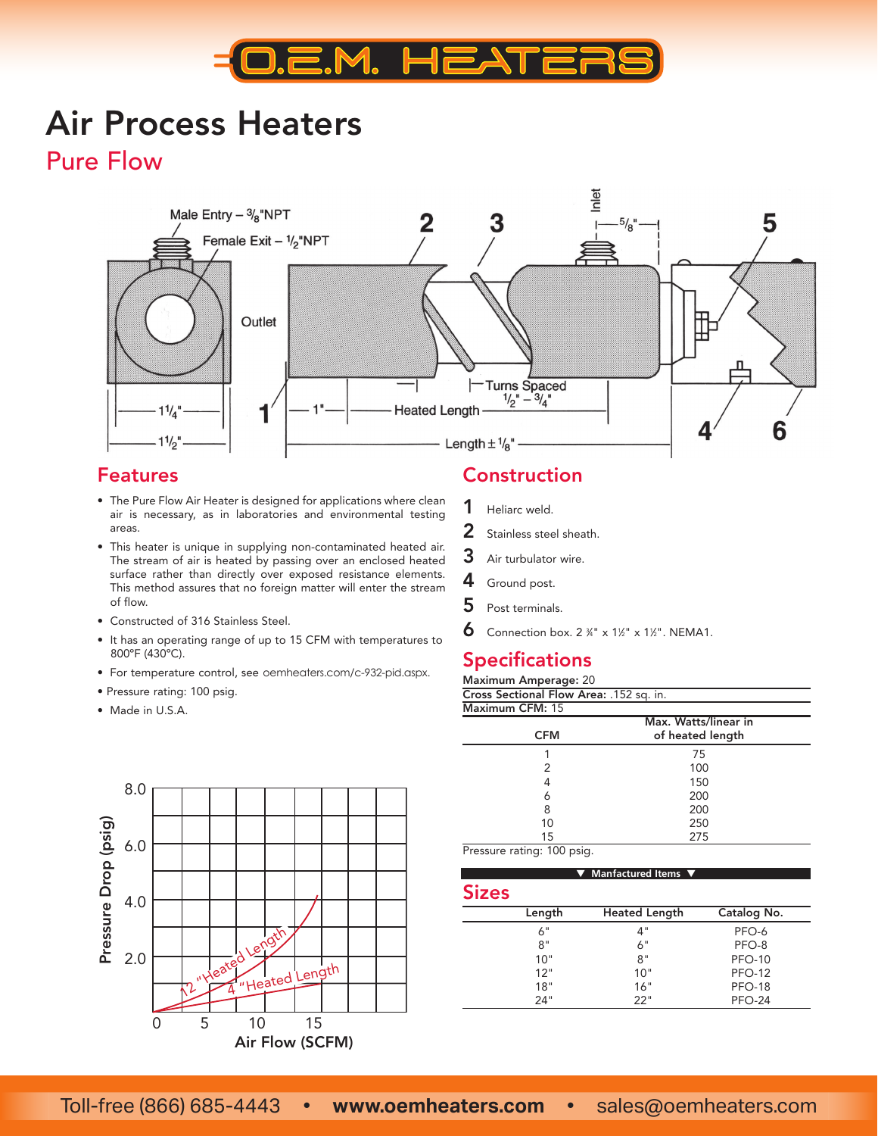

# Air Process Heaters

Pure Flow



#### Features

- The Pure Flow Air Heater is designed for applications where clean air is necessary, as in laboratories and environmental testing areas.
- This heater is unique in supplying non-contaminated heated air. The stream of air is heated by passing over an enclosed heated surface rather than directly over exposed resistance elements. This method assures that no foreign matter will enter the stream of flow.
- Constructed of 316 Stainless Steel.
- It has an operating range of up to 15 CFM with temperatures to 800ºF (430ºC).
- For temperature control, see oemheaters.com/c-932-pid.aspx.
- Pressure rating: 100 psig.
- Made in U.S.A.



### Construction

- 1 Heliarc weld.
- 2 Stainless steel sheath.
- 3 Air turbulator wire.
- 4 Ground post.
- 5 Post terminals.
- 6 Connection box.  $2\frac{3}{4}$ " x  $1\frac{1}{2}$ " x  $1\frac{1}{2}$ ". NEMA1.

#### **Specifications**

| <b>Maximum Amperage: 20</b>             |                      |
|-----------------------------------------|----------------------|
| Cross Sectional Flow Area: .152 sq. in. |                      |
| Maximum CFM: 15                         |                      |
|                                         | Max. Watts/linear in |
| <b>CFM</b>                              | of heated length     |

|    | 75         |
|----|------------|
| 2  | 100        |
|    | 150        |
| 6  | 200        |
| 8  | 200<br>250 |
| 10 |            |
| 15 | 275        |

Pressure rating: 100 psig.

| <b>Sizes</b> |                      |               |  |
|--------------|----------------------|---------------|--|
| Length       | <b>Heated Length</b> | Catalog No.   |  |
| 6"           | 4"                   | PFO-6         |  |
| 8"           | 6"                   | PFO-8         |  |
| 10"          | 8"                   | <b>PFO-10</b> |  |
| 12"          | 10"                  | <b>PFO-12</b> |  |
| 18"          | 16"                  | <b>PFO-18</b> |  |
| 24"          | 22"                  | <b>PFO-24</b> |  |

▼ **Manfactured Items** ▼